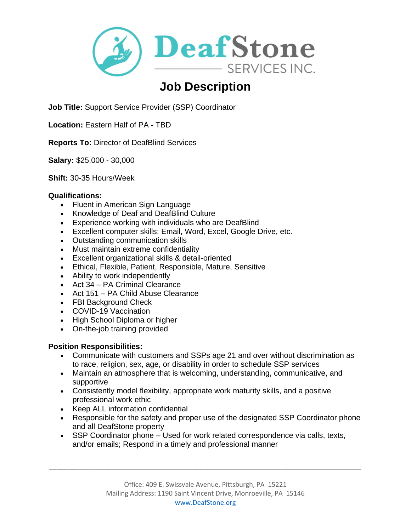

# **Job Description**

**Job Title:** Support Service Provider (SSP) Coordinator

**Location:** Eastern Half of PA - TBD

**Reports To:** Director of DeafBlind Services

**Salary:** \$25,000 - 30,000

**Shift:** 30-35 Hours/Week

### **Qualifications:**

- Fluent in American Sign Language
- Knowledge of Deaf and DeafBlind Culture
- Experience working with individuals who are DeafBlind
- Excellent computer skills: Email, Word, Excel, Google Drive, etc.
- Outstanding communication skills
- Must maintain extreme confidentiality
- Excellent organizational skills & detail-oriented
- Ethical, Flexible, Patient, Responsible, Mature, Sensitive
- Ability to work independently
- Act 34 PA Criminal Clearance
- Act 151 PA Child Abuse Clearance
- FBI Background Check
- COVID-19 Vaccination
- High School Diploma or higher
- On-the-job training provided

### **Position Responsibilities:**

- Communicate with customers and SSPs age 21 and over without discrimination as to race, religion, sex, age, or disability in order to schedule SSP services
- Maintain an atmosphere that is welcoming, understanding, communicative, and supportive
- Consistently model flexibility, appropriate work maturity skills, and a positive professional work ethic
- Keep ALL information confidential
- Responsible for the safety and proper use of the designated SSP Coordinator phone and all DeafStone property
- SSP Coordinator phone Used for work related correspondence via calls, texts, and/or emails; Respond in a timely and professional manner

\_\_\_\_\_\_\_\_\_\_\_\_\_\_\_\_\_\_\_\_\_\_\_\_\_\_\_\_\_\_\_\_\_\_\_\_\_\_\_\_\_\_\_\_\_\_\_\_\_\_\_\_\_\_\_\_\_\_\_\_\_\_\_\_\_\_\_\_\_\_\_\_\_\_\_\_\_\_\_\_\_\_\_\_\_